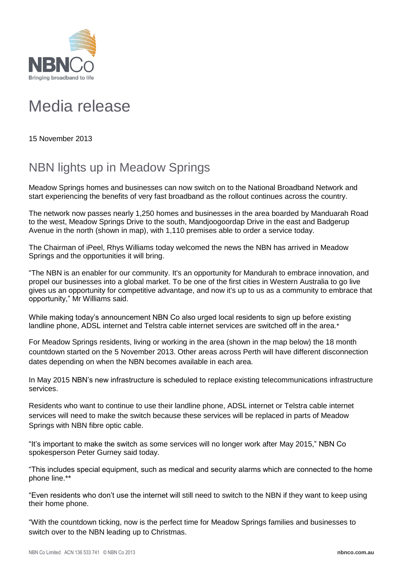

## Media release

15 November 2013

## NBN lights up in Meadow Springs

Meadow Springs homes and businesses can now switch on to the National Broadband Network and start experiencing the benefits of very fast broadband as the rollout continues across the country.

The network now passes nearly 1,250 homes and businesses in the area boarded by Manduarah Road to the west, Meadow Springs Drive to the south, Mandjoogoordap Drive in the east and Badgerup Avenue in the north (shown in map), with 1,110 premises able to order a service today.

The Chairman of iPeel, Rhys Williams today welcomed the news the NBN has arrived in Meadow Springs and the opportunities it will bring.

"The NBN is an enabler for our community. It's an opportunity for Mandurah to embrace innovation, and propel our businesses into a global market. To be one of the first cities in Western Australia to go live gives us an opportunity for competitive advantage, and now it's up to us as a community to embrace that opportunity," Mr Williams said.

While making today's announcement NBN Co also urged local residents to sign up before existing landline phone, ADSL internet and Telstra cable internet services are switched off in the area.\*

For Meadow Springs residents, living or working in the area (shown in the map below) the 18 month countdown started on the 5 November 2013. Other areas across Perth will have different disconnection dates depending on when the NBN becomes available in each area.

In May 2015 NBN's new infrastructure is scheduled to replace existing telecommunications infrastructure services.

Residents who want to continue to use their landline phone, ADSL internet or Telstra cable internet services will need to make the switch because these services will be replaced in parts of Meadow Springs with NBN fibre optic cable.

"It's important to make the switch as some services will no longer work after May 2015," NBN Co spokesperson Peter Gurney said today.

"This includes special equipment, such as medical and security alarms which are connected to the home phone line.\*\*

"Even residents who don't use the internet will still need to switch to the NBN if they want to keep using their home phone.

"With the countdown ticking, now is the perfect time for Meadow Springs families and businesses to switch over to the NBN leading up to Christmas.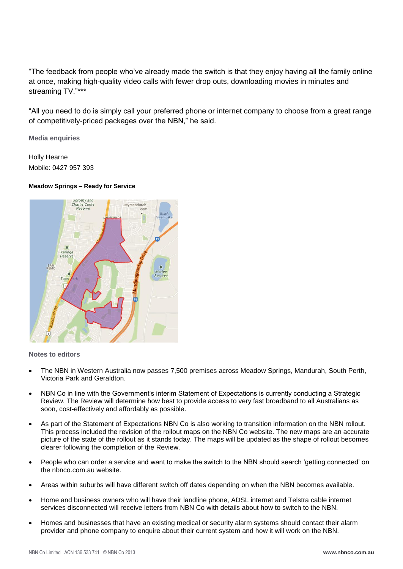"The feedback from people who've already made the switch is that they enjoy having all the family online at once, making high-quality video calls with fewer drop outs, downloading movies in minutes and streaming TV."\*\*\*

"All you need to do is simply call your preferred phone or internet company to choose from a great range of competitively-priced packages over the NBN," he said.

**Media enquiries**

Holly Hearne Mobile: 0427 957 393

## **Meadow Springs – Ready for Service**



## **Notes to editors**

- The NBN in Western Australia now passes 7,500 premises across Meadow Springs, Mandurah, South Perth, Victoria Park and Geraldton.
- NBN Co in line with the Government's interim Statement of Expectations is currently conducting a Strategic Review. The Review will determine how best to provide access to very fast broadband to all Australians as soon, cost-effectively and affordably as possible.
- As part of the Statement of Expectations NBN Co is also working to transition information on the NBN rollout. This process included the revision of the rollout maps on the NBN Co website. The new maps are an accurate picture of the state of the rollout as it stands today. The maps will be updated as the shape of rollout becomes clearer following the completion of the Review.
- People who can order a service and want to make the switch to the NBN should search 'getting connected' on the nbnco.com.au website.
- Areas within suburbs will have different switch off dates depending on when the NBN becomes available.
- Home and business owners who will have their landline phone, ADSL internet and Telstra cable internet services disconnected will receive letters from NBN Co with details about how to switch to the NBN.
- Homes and businesses that have an existing medical or security alarm systems should contact their alarm provider and phone company to enquire about their current system and how it will work on the NBN.